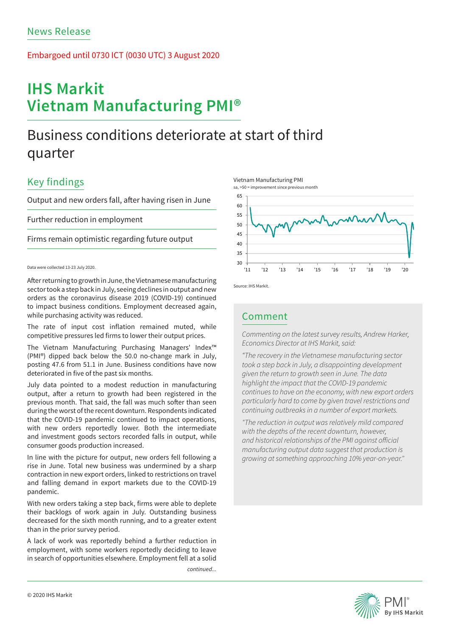### Embargoed until 0730 ICT (0030 UTC) 3 August 2020

# **IHS Markit Vietnam Manufacturing PMI®**

## Business conditions deteriorate at start of third quarter

## Key findings

Output and new orders fall, after having risen in June

Further reduction in employment

Firms remain optimistic regarding future output

### Data were collected 13-23 July 2020.

After returning to growth in June, the Vietnamese manufacturing sector took a step back in July, seeing declines in output and new orders as the coronavirus disease 2019 (COVID-19) continued to impact business conditions. Employment decreased again, while purchasing activity was reduced.

The rate of input cost inflation remained muted, while competitive pressures led firms to lower their output prices.

The Vietnam Manufacturing Purchasing Managers' Index™ (PMI®) dipped back below the 50.0 no-change mark in July, posting 47.6 from 51.1 in June. Business conditions have now deteriorated in five of the past six months.

July data pointed to a modest reduction in manufacturing output, after a return to growth had been registered in the previous month. That said, the fall was much softer than seen during the worst of the recent downturn. Respondents indicated that the COVID-19 pandemic continued to impact operations, with new orders reportedly lower. Both the intermediate and investment goods sectors recorded falls in output, while consumer goods production increased.

In line with the picture for output, new orders fell following a rise in June. Total new business was undermined by a sharp contraction in new export orders, linked to restrictions on travel and falling demand in export markets due to the COVID-19 pandemic.

With new orders taking a step back, firms were able to deplete their backlogs of work again in July. Outstanding business decreased for the sixth month running, and to a greater extent than in the prior survey period.

A lack of work was reportedly behind a further reduction in employment, with some workers reportedly deciding to leave in search of opportunities elsewhere. Employment fell at a solid

*continued...*







Source: IHS Markit.

### Comment

*Commenting on the latest survey results, Andrew Harker, Economics Director at IHS Markit, said:* 

*"The recovery in the Vietnamese manufacturing sector took a step back in July, a disappointing development given the return to growth seen in June. The data highlight the impact that the COVID-19 pandemic continues to have on the economy, with new export orders particularly hard to come by given travel restrictions and continuing outbreaks in a number of export markets.*

*"The reduction in output was relatively mild compared with the depths of the recent downturn, however, and historical relationships of the PMI against official manufacturing output data suggest that production is growing at something approaching 10% year-on-year."*